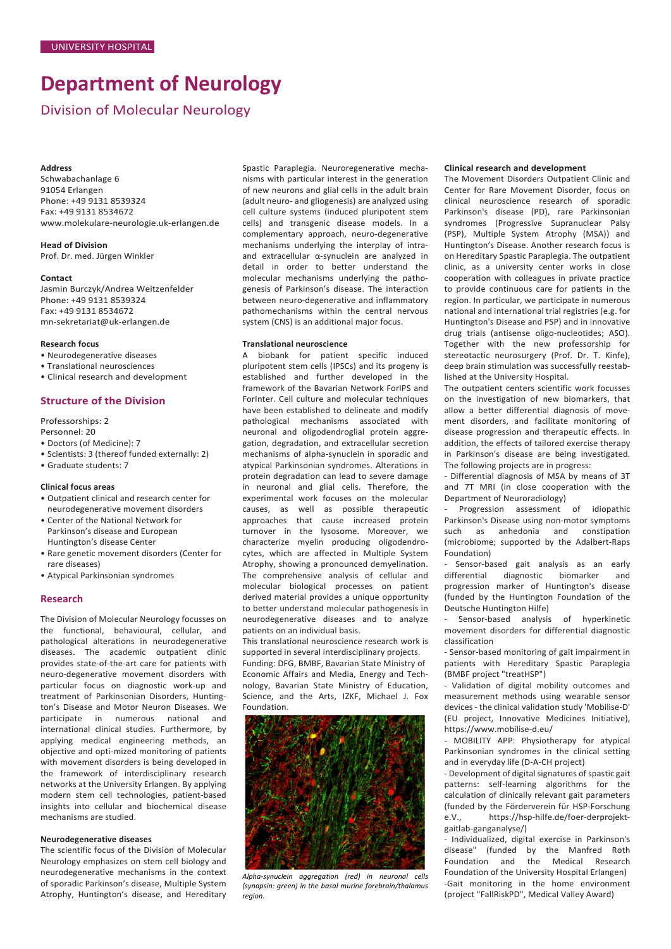# **Department of Neurology**

Division of Molecular Neurology

# **Address**

Schwabachanlage 6 91054 Erlangen Phone: +49 9131 8539324 Fax: +49 9131 8534672 [www.molekulare-neurologie.uk-erlangen.de](http://www.molekulare-neurologie.uk-erlangen.de/)

**Head of Division** Prof. Dr. med. Jürgen Winkler

## **Contact**

Jasmin Burczyk/Andrea Weitzenfelder Phone: +49 9131 8539324 Fax: +49 9131 8534672 [mn-sekretariat@uk-erlangen.de](mailto:mn-sekretariat@uk-erlangen.de)

## **Research focus**

- Neurodegenerative diseases
- Translational neurosciences
- Clinical research and development

# **Structure of the Division**

Professorships: 2

- Personnel: 20 • Doctors (of Medicine): 7
- 
- Scientists: 3 (thereof funded externally: 2) • Graduate students: 7
- 

# **Clinical focus areas**

- Outpatient clinical and research center for neurodegenerative movement disorders
- Center of the National Network for Parkinson's disease and European Huntington's disease Center
- Rare genetic movement disorders (Center for rare diseases)
- Atypical Parkinsonian syndromes

## **Research**

The Division of Molecular Neurology focusses on the functional, behavioural, cellular, and pathological alterations in neurodegenerative diseases. The academic outpatient clinic provides state-of-the-art care for patients with neuro-degenerative movement disorders with particular focus on diagnostic work-up and treatment of Parkinsonian Disorders, Huntington's Disease and Motor Neuron Diseases. We participate in numerous national and international clinical studies. Furthermore, by applying medical engineering methods, an objective and opti-mized monitoring of patients with movement disorders is being developed in the framework of interdisciplinary research networks at the University Erlangen. By applying modern stem cell technologies, patient-based insights into cellular and biochemical disease mechanisms are studied.

#### **Neurodegenerative diseases**

The scientific focus of the Division of Molecular Neurology emphasizes on stem cell biology and neurodegenerative mechanisms in the context of sporadic Parkinson's disease, Multiple System Atrophy, Huntington's disease, and Hereditary Spastic Paraplegia. Neuroregenerative mechanisms with particular interest in the generation of new neurons and glial cells in the adult brain (adult neuro- and gliogenesis) are analyzed using cell culture systems (induced pluripotent stem cells) and transgenic disease models. In a complementary approach, neuro-degenerative mechanisms underlying the interplay of intraand extracellular α-synuclein are analyzed in detail in order to better understand the molecular mechanisms underlying the pathogenesis of Parkinson's disease. The interaction between neuro-degenerative and inflammatory pathomechanisms within the central nervous system (CNS) is an additional major focus.

## **Translational neuroscience**

A biobank for patient specific induced pluripotent stem cells (IPSCs) and its progeny is established and further developed in the framework of the Bavarian Network ForIPS and ForInter. Cell culture and molecular techniques have been established to delineate and modify pathological mechanisms associated with neuronal and oligodendroglial protein aggregation, degradation, and extracellular secretion mechanisms of alpha-synuclein in sporadic and atypical Parkinsonian syndromes. Alterations in protein degradation can lead to severe damage in neuronal and glial cells. Therefore, the experimental work focuses on the molecular causes, as well as possible therapeutic approaches that cause increased protein turnover in the lysosome. Moreover, we characterize myelin producing oligodendrocytes, which are affected in Multiple System Atrophy, showing a pronounced demyelination. The comprehensive analysis of cellular and molecular biological processes on patient derived material provides a unique opportunity to better understand molecular pathogenesis in neurodegenerative diseases and to analyze patients on an individual basis.

This translational neuroscience research work is supported in several interdisciplinary projects.

Funding: DFG, BMBF, Bavarian State Ministry of Economic Affairs and Media, Energy and Technology, Bavarian State Ministry of Education, Science, and the Arts, IZKF, Michael J. Fox Foundation.



*Alpha-synuclein aggregation (red) in neuronal cells (synapsin: green) in the basal murine forebrain/thalamus region.*

## **Clinical research and development**

The Movement Disorders Outpatient Clinic and Center for Rare Movement Disorder, focus on clinical neuroscience research of sporadic Parkinson's disease (PD), rare Parkinsonian syndromes (Progressive Supranuclear Palsy (PSP), Multiple System Atrophy (MSA)) and Huntington's Disease. Another research focus is on Hereditary Spastic Paraplegia. The outpatient clinic, as a university center works in close cooperation with colleagues in private practice to provide continuous care for patients in the region. In particular, we participate in numerous national and international trial registries (e.g. for Huntington's Disease and PSP) and in innovative drug trials (antisense oligo-nucleotides; ASO). Together with the new professorship for stereotactic neurosurgery (Prof. Dr. T. Kinfe), deep brain stimulation was successfully reestablished at the University Hospital.

The outpatient centers scientific work focusses on the investigation of new biomarkers, that allow a better differential diagnosis of movement disorders, and facilitate monitoring of disease progression and therapeutic effects. In addition, the effects of tailored exercise therapy in Parkinson's disease are being investigated. The following projects are in progress:

- Differential diagnosis of MSA by means of 3T and 7T MRI (in close cooperation with the Department of Neuroradiology)

Progression assessment of idiopathic Parkinson's Disease using non-motor symptoms such as anhedonia and constipation (microbiome; supported by the Adalbert-Raps Foundation)

- Sensor-based gait analysis as an early diagnostic biomarker and progression marker of Huntington's disease (funded by the Huntington Foundation of the Deutsche Huntington Hilfe)

- Sensor-based analysis of hyperkinetic movement disorders for differential diagnostic classification

- Sensor-based monitoring of gait impairment in patients with Hereditary Spastic Paraplegia (BMBF project "treatHSP")

- Validation of digital mobility outcomes and measurement methods using wearable sensor devices - the clinical validation study 'Mobilise-D' (EU project, Innovative Medicines Initiative), https://www.mobilise-d.eu/

- MOBILITY APP: Physiotherapy for atypical Parkinsonian syndromes in the clinical setting and in everyday life (D-A-CH project)

- Development of digital signatures of spastic gait patterns: self-learning algorithms for the calculation of clinically relevant gait parameters (funded by the Förderverein für HSP-Forschung e.V., https://hsp-hilfe.de/foer-derprojektgaitlab-ganganalyse/)

- Individualized, digital exercise in Parkinson's disease" (funded by the Manfred Roth Foundation and the Medical Research Foundation of the University Hospital Erlangen) -Gait monitoring in the home environment (project "FallRiskPD", Medical Valley Award)